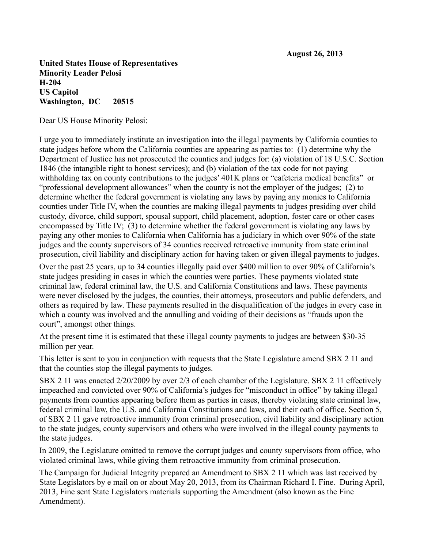**United States House of Representatives Minority Leader Pelosi H-204 US Capitol Washington, DC 20515**

Dear US House Minority Pelosi:

I urge you to immediately institute an investigation into the illegal payments by California counties to state judges before whom the California counties are appearing as parties to: (1) determine why the Department of Justice has not prosecuted the counties and judges for: (a) violation of 18 U.S.C. Section 1846 (the intangible right to honest services); and (b) violation of the tax code for not paying withholding tax on county contributions to the judges' 401K plans or "cafeteria medical benefits" or "professional development allowances" when the county is not the employer of the judges; (2) to determine whether the federal government is violating any laws by paying any monies to California counties under Title IV, when the counties are making illegal payments to judges presiding over child custody, divorce, child support, spousal support, child placement, adoption, foster care or other cases encompassed by Title IV; (3) to determine whether the federal government is violating any laws by paying any other monies to California when California has a judiciary in which over 90% of the state judges and the county supervisors of 34 counties received retroactive immunity from state criminal prosecution, civil liability and disciplinary action for having taken or given illegal payments to judges.

Over the past 25 years, up to 34 counties illegally paid over \$400 million to over 90% of California's state judges presiding in cases in which the counties were parties. These payments violated state criminal law, federal criminal law, the U.S. and California Constitutions and laws. These payments were never disclosed by the judges, the counties, their attorneys, prosecutors and public defenders, and others as required by law. These payments resulted in the disqualification of the judges in every case in which a county was involved and the annulling and voiding of their decisions as "frauds upon the court", amongst other things.

At the present time it is estimated that these illegal county payments to judges are between \$30-35 million per year.

This letter is sent to you in conjunction with requests that the State Legislature amend SBX 2 11 and that the counties stop the illegal payments to judges.

SBX 2 11 was enacted 2/20/2009 by over 2/3 of each chamber of the Legislature. SBX 2 11 effectively impeached and convicted over 90% of California's judges for "misconduct in office" by taking illegal payments from counties appearing before them as parties in cases, thereby violating state criminal law, federal criminal law, the U.S. and California Constitutions and laws, and their oath of office. Section 5, of SBX 2 11 gave retroactive immunity from criminal prosecution, civil liability and disciplinary action to the state judges, county supervisors and others who were involved in the illegal county payments to the state judges.

In 2009, the Legislature omitted to remove the corrupt judges and county supervisors from office, who violated criminal laws, while giving them retroactive immunity from criminal prosecution.

The Campaign for Judicial Integrity prepared an Amendment to SBX 2 11 which was last received by State Legislators by e mail on or about May 20, 2013, from its Chairman Richard I. Fine. During April, 2013, Fine sent State Legislators materials supporting the Amendment (also known as the Fine Amendment).